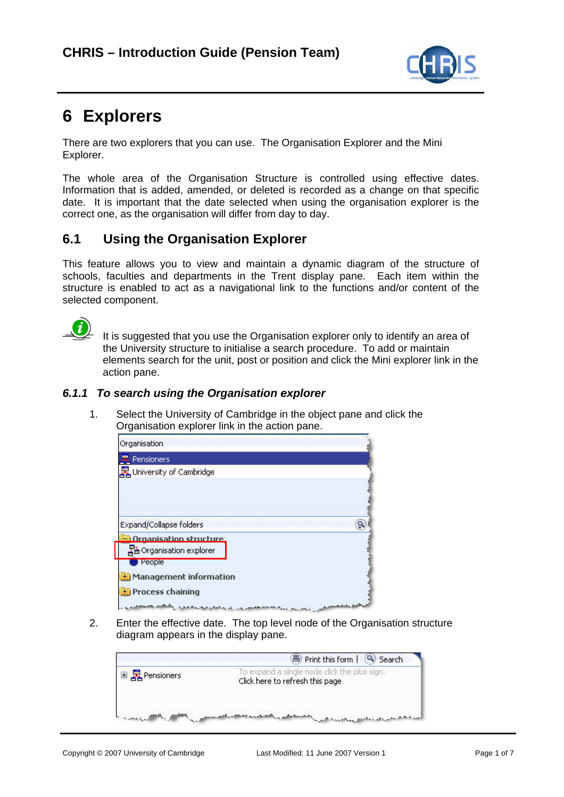

# **6 Explorers**

There are two explorers that you can use. The Organisation Explorer and the Mini Explorer.

The whole area of the Organisation Structure is controlled using effective dates. Information that is added, amended, or deleted is recorded as a change on that specific date. It is important that the date selected when using the organisation explorer is the correct one, as the organisation will differ from day to day.

# **6.1 Using the Organisation Explorer**

This feature allows you to view and maintain a dynamic diagram of the structure of schools, faculties and departments in the Trent display pane. Each item within the structure is enabled to act as a navigational link to the functions and/or content of the selected component.



 It is suggested that you use the Organisation explorer only to identify an area of the University structure to initialise a search procedure. To add or maintain elements search for the unit, post or position and click the Mini explorer link in the action pane.

## *6.1.1 To search using the Organisation explorer*

1. Select the University of Cambridge in the object pane and click the Organisation explorer link in the action pane.



2. Enter the effective date. The top level node of the Organisation structure diagram appears in the display pane.

|            | Print this form   3 Search                                                      |
|------------|---------------------------------------------------------------------------------|
| Pensioners | To expand a single node click the plus sign.<br>Click here to refresh this page |
|            |                                                                                 |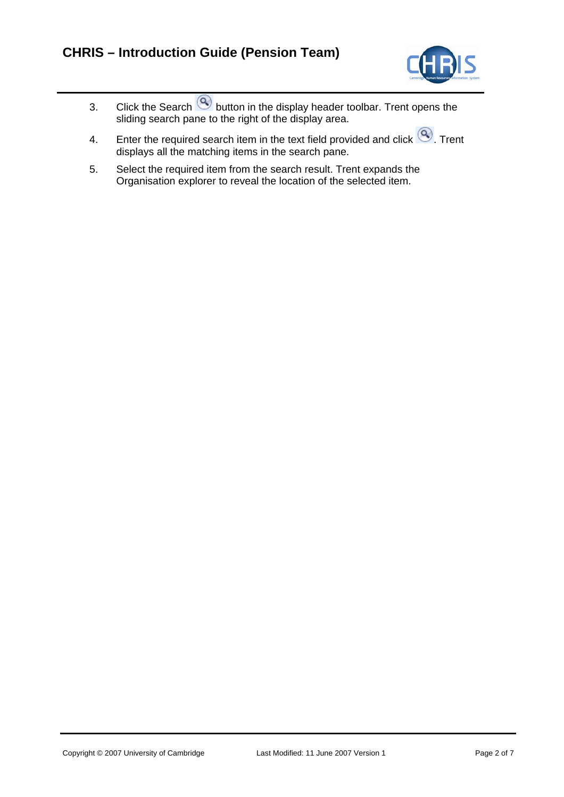

- 3. Click the Search  $\heartsuit$  button in the display header toolbar. Trent opens the sliding search pane to the right of the display area.
- 4. Enter the required search item in the text field provided and click  $\bigcirc$ . Trent displays all the matching items in the search pane.
- 5. Select the required item from the search result. Trent expands the Organisation explorer to reveal the location of the selected item.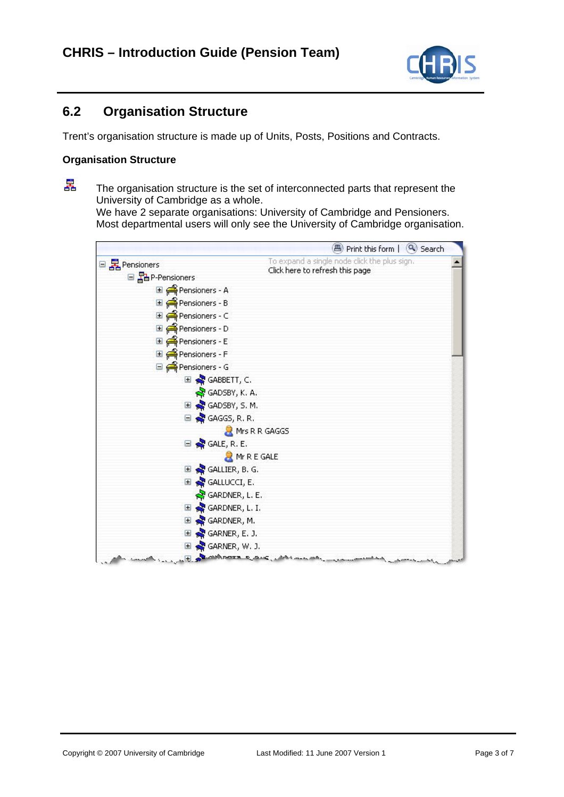

## **6.2 Organisation Structure**

Trent's organisation structure is made up of Units, Posts, Positions and Contracts.

#### **Organisation Structure**

異

 The organisation structure is the set of interconnected parts that represent the University of Cambridge as a whole. We have 2 separate organisations: University of Cambridge and Pensioners.

Most departmental users will only see the University of Cambridge organisation.

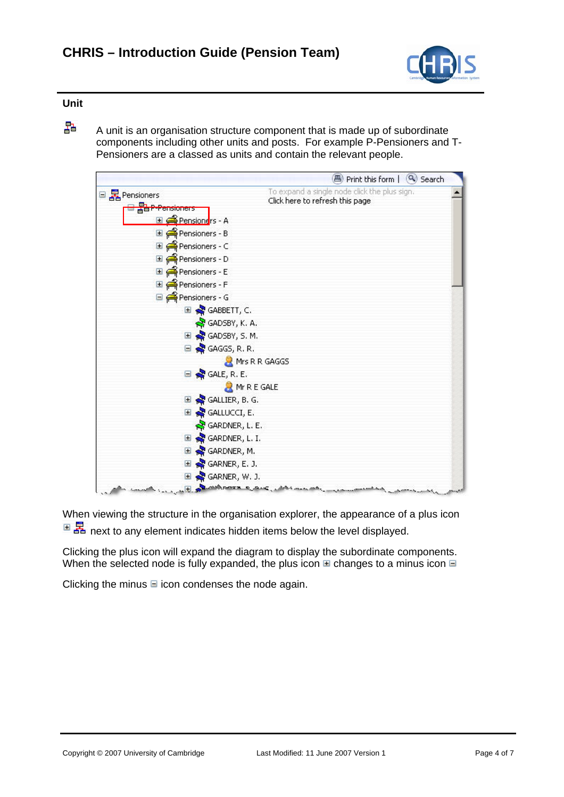

### **Unit**

 $\frac{1}{4}$  A unit is an organisation structure component that is made up of subordinate components including other units and posts. For example P-Pensioners and T-Pensioners are a classed as units and contain the relevant people.



When viewing the structure in the organisation explorer, the appearance of a plus icon  $\mathbb{E}$   $\mathbb{E}$  next to any element indicates hidden items below the level displayed.

Clicking the plus icon will expand the diagram to display the subordinate components. When the selected node is fully expanded, the plus icon  $\mathbb E$  changes to a minus icon  $\mathbb E$ 

Clicking the minus  $\blacksquare$  icon condenses the node again.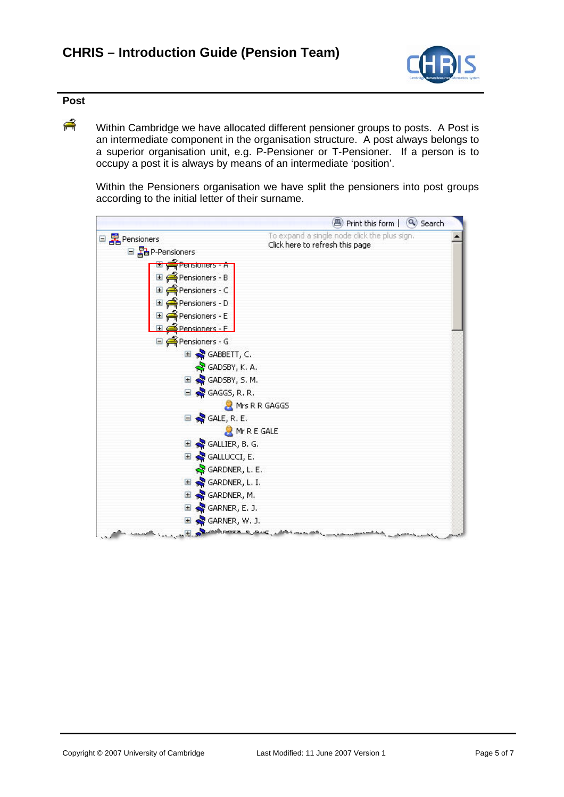

## **Post**

**A** Within Cambridge we have allocated different pensioner groups to posts. A Post is an intermediate component in the organisation structure. A post always belongs to a superior organisation unit, e.g. P-Pensioner or T-Pensioner. If a person is to occupy a post it is always by means of an intermediate 'position'.

Within the Pensioners organisation we have split the pensioners into post groups according to the initial letter of their surname.

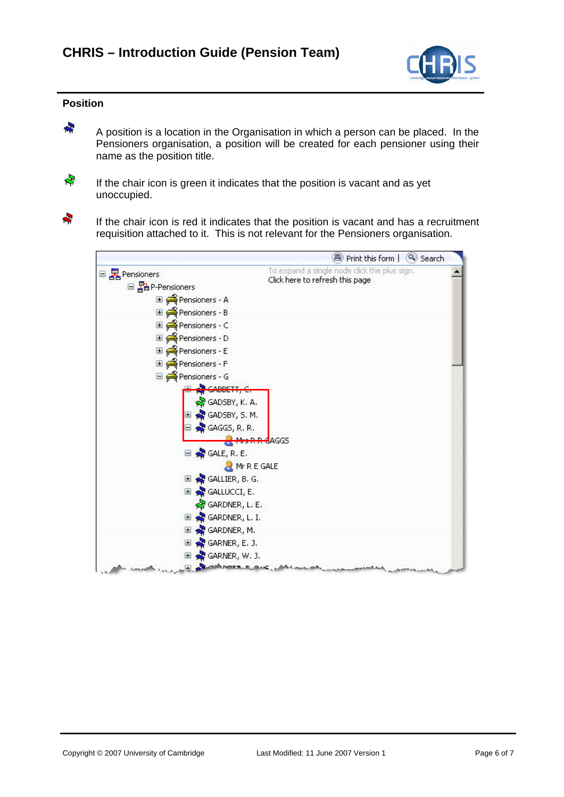

#### **Position**

 A position is a location in the Organisation in which a person can be placed. In the Pensioners organisation, a position will be created for each pensioner using their name as the position title.



÷

 If the chair icon is green it indicates that the position is vacant and as yet unoccupied.

If the chair icon is red it indicates that the position is vacant and has a recruitment requisition attached to it. This is not relevant for the Pensioners organisation.